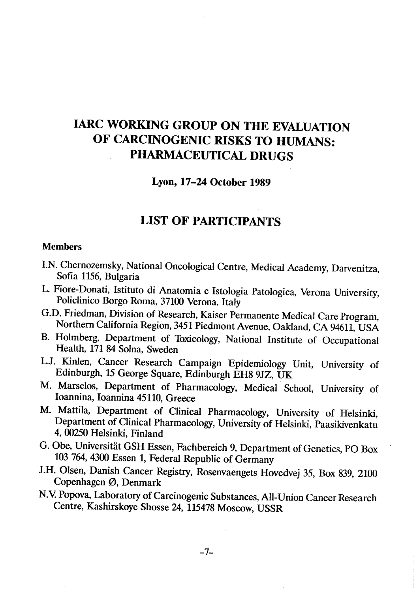# IARC WORKING GROUP ON THE EVALUATION OF CARCINOGENIC RISKS TO HUMANS: PHARMACEUTICAL DRUGS

### Lyon, 17-24 October 1989

## LIST OF PARTICIPANTS

#### Members

- I.N. Chernozemsky, National Oncological Centre, Medical Academy, Darvenitza, Sofia 1156, Bulgaria
- L. Fiore-Donati, Istituto di Anatomia e Istologia Patologica, Verona University, Policlinico Borgo Roma, 37100 Verona, Italy
- G.D. Friedman, Division of Research, Kaiser Permanente Medical Care Program, Northern California Region, 3451 Piedmont Avenue, Oakland, CA 94611, USA
- B. Holmberg, Department of Toxicology, National Institute of Occupational Health, 171 84 Solna, Sweden
- L.J. Kinlen, Cancer Research Campaign Epidemiology Unit, University of Edinburgh, 15 George Square, Edinburgh EH8 9JZ, UK
- M. Marselos, Department of Pharmacology, Medical School, University of loannina, loannina 45110, Greece
- M. Mattila, Department of Clinical Pharmacology, University of Helsinki, Department of Clinical Pharmacology, University of Helsinki, Paasikivenkatu 4, 00250 Helsinki, Finland
- G. Obe, Universitat GSH Essen, Fachbereich 9, Department of Genetics, PO Box 103 764, 4300 Essen 1, Federal Republic of Germany
- J.H. Olsen, Danish Cancer Registry, Rosenvaengets Hovedvej 35, Box 839, 2100 Copenhagen ø, Denmark
- N.V. Popova, Laboratory of Carcinogenic Substances, All-Union Cancer Research Centre, Kashirskoye Shosse 24, 115478 Moscow, USSR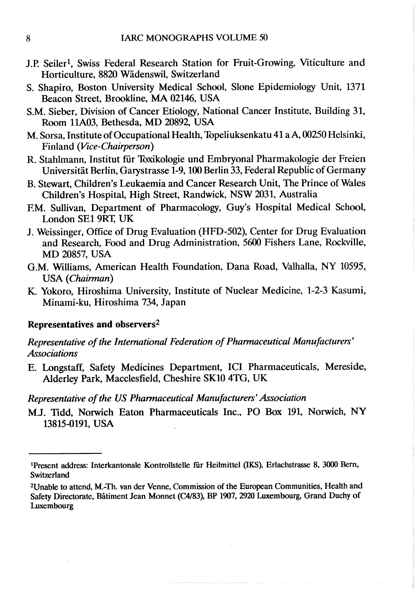- J.P. Seiler<sup>1</sup>, Swiss Federal Research Station for Fruit-Growing, Viticulture and Horticulture, 8820 Wadenswil, Switzerland
- S. Shapiro, Boston University Medical School, Slone Epidemiology Unit, 1371 Beacon Street, Brookline, MA 02146, USA
- S.M. Sieber, Division of Cancer Etiology, National Cancer Institute, Building 31, Room 11A03, Bethesda, MD 20892, USA
- M. Sorsa, Institute of Occupational Health, Topeliuksenkatu 41 a A, 00250 Helsinki, Finland (Vice-Chairperson)
- R. Stahlmann, Institut fur Toxikologie und Embryonal Pharmakologie der Freien Universitat Berlin, Garystrasse 1-9, 100 Berlin 33, Federal Republic of Germany
- B. Stewart, Children's Leukaemia and Cancer Research Unit, The Prince of Wales Children's Hospital, High Street, Randwick, NSW 2031, Australia
- F.M. Sullivan, Department of Pharmacology, Guy's Hospital Medical School, London SE1 9RT, UK
- J. Weissinger, Office of Drug Evaluation (HFD-502), Center for Drug Evaluation and Research, Food and Drug Administration, 560 Fishers Lane, Rockville, MD 20857, USA
- G.M. Williams, American Health Foundation, Dana Road, Valhalla, NY 10595, USA (Chairman)
- K. Yokoro, Hiroshima University, Institute of Nuclear Medicine, 1-2-3 Kasumi, Minami-ku, Hiroshima 734, Japan

### Representatives and observers2

### Representative of the International Federation of Pharmaceutical Manufacturers' **Associations**

E. Longstaff, Safety Medicines Department, ICI Pharmaceuticals, Mereside, Alderley Park, Macclesfield, Cheshire SK10 4TG, UK

### Representative of the US Pharmaceutical Manufacturers' Association

M.J. Tidd, Norwich Eaton Pharmaceuticals Inc., PO Box 191, Norwich, NY 13815-0191, USA

<sup>&</sup>lt;sup>1</sup>Present address: Interkantonale Kontrollstelle für Heilmittel (IKS), Erlachstrasse 8, 3000 Bern, Switzerland

<sup>2</sup>Unable to attend, M.-Th. van der Venne, Commission of the European Communities, Health and Safety Directorate, Bâtiment Jean Monnet (C4/83), BP 1907, 2920 Luxembourg, Grand Duchy of Luxembourg